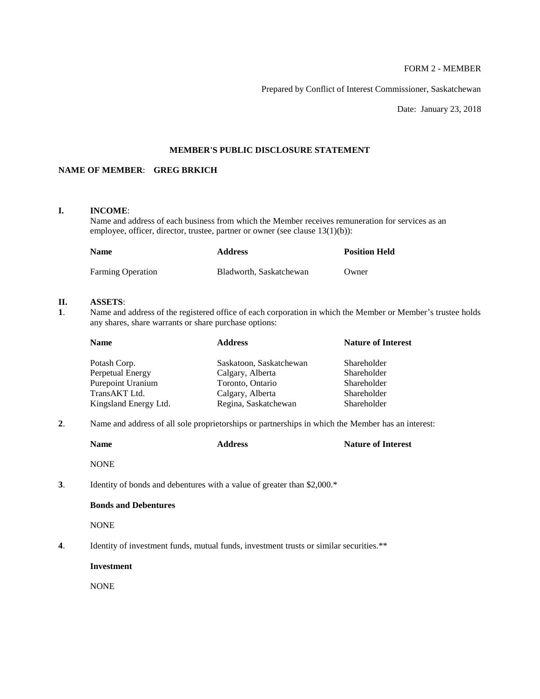# FORM 2 - MEMBER

Prepared by Conflict of Interest Commissioner, Saskatchewan

Date: January 23, 2018

# **MEMBER'S PUBLIC DISCLOSURE STATEMENT**

# **NAME OF MEMBER**: **GREG BRKICH**

# **I. INCOME**:

Name and address of each business from which the Member receives remuneration for services as an employee, officer, director, trustee, partner or owner (see clause 13(1)(b)):

| <b>Name</b>              | <b>Address</b>          | <b>Position Held</b> |
|--------------------------|-------------------------|----------------------|
| <b>Farming Operation</b> | Bladworth, Saskatchewan | Owner                |

# **II. ASSETS**:

**1**. Name and address of the registered office of each corporation in which the Member or Member's trustee holds any shares, share warrants or share purchase options:

| <b>Name</b>           | <b>Address</b>          | <b>Nature of Interest</b> |
|-----------------------|-------------------------|---------------------------|
| Potash Corp.          | Saskatoon, Saskatchewan | Shareholder               |
| Perpetual Energy      | Calgary, Alberta        | Shareholder               |
| Purepoint Uranium     | Toronto, Ontario        | Shareholder               |
| TransAKT Ltd.         | Calgary, Alberta        | Shareholder               |
| Kingsland Energy Ltd. | Regina, Saskatchewan    | Shareholder               |

**2**. Name and address of all sole proprietorships or partnerships in which the Member has an interest:

|    | <b>Name</b>                 | <b>Address</b>                                                                         | <b>Nature of Interest</b> |
|----|-----------------------------|----------------------------------------------------------------------------------------|---------------------------|
|    | <b>NONE</b>                 |                                                                                        |                           |
| 3. |                             | Identity of bonds and debentures with a value of greater than \$2,000.*                |                           |
|    | <b>Bonds and Debentures</b> |                                                                                        |                           |
|    | <b>NONE</b>                 |                                                                                        |                           |
| 4. |                             | Identity of investment funds, mutual funds, investment trusts or similar securities.** |                           |
|    | <b>Investment</b>           |                                                                                        |                           |
|    | <b>NONE</b>                 |                                                                                        |                           |
|    |                             |                                                                                        |                           |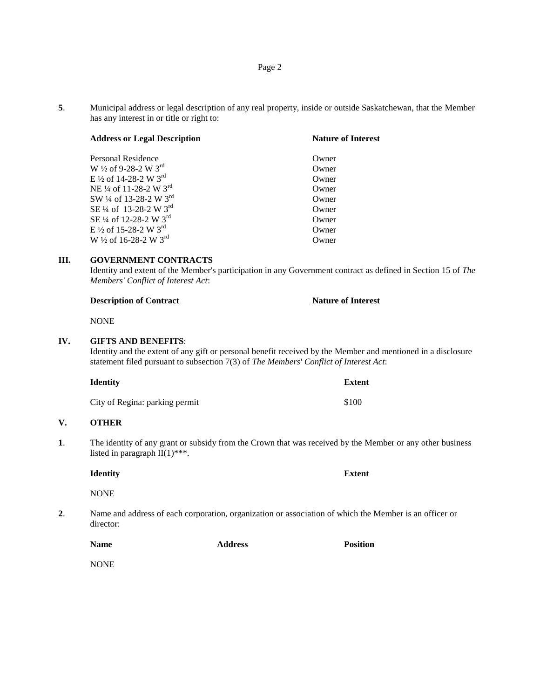**5**. Municipal address or legal description of any real property, inside or outside Saskatchewan, that the Member has any interest in or title or right to:

| <b>Address or Legal Description</b>            | <b>Nature of Interest</b> |  |
|------------------------------------------------|---------------------------|--|
| Personal Residence                             | Owner                     |  |
| W 1/2 of 9-28-2 W 3rd                          | Owner                     |  |
| E 1/2 of 14-28-2 W 3rd                         | Owner                     |  |
| NE <sup>1/4</sup> of 11-28-2 W 3 <sup>rd</sup> | Owner                     |  |
| SW 1/4 of 13-28-2 W 3rd                        | Owner                     |  |
| SE 1/4 of 13-28-2 W 3rd                        | Owner                     |  |
| SE 1/4 of 12-28-2 W 3rd                        | Owner                     |  |
| E 1/2 of 15-28-2 W $3^{\text{rd}}$             | Owner                     |  |
| W $\frac{1}{2}$ of 16-28-2 W 3 <sup>rd</sup>   | Owner                     |  |

### **III. GOVERNMENT CONTRACTS**

Identity and extent of the Member's participation in any Government contract as defined in Section 15 of *The Members' Conflict of Interest Act*:

| <b>Description of Contract</b> | <b>Nature of Interest</b> |
|--------------------------------|---------------------------|
|--------------------------------|---------------------------|

**NONE** 

### **IV. GIFTS AND BENEFITS**:

Identity and the extent of any gift or personal benefit received by the Member and mentioned in a disclosure statement filed pursuant to subsection 7(3) of *The Members' Conflict of Interest Act*:

| <b>Identity</b>                | <b>Extent</b> |
|--------------------------------|---------------|
| City of Regina: parking permit | \$100         |

# **V. OTHER**

**1**. The identity of any grant or subsidy from the Crown that was received by the Member or any other business listed in paragraph  $II(1)$ \*\*\*.

**Identity Extent**

NONE

**2**. Name and address of each corporation, organization or association of which the Member is an officer or director:

**Name Address Position**

**NONE**